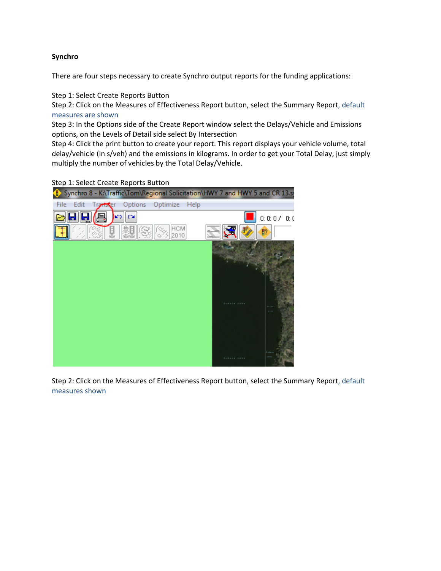# **Synchro**

There are four steps necessary to create Synchro output reports for the funding applications:

Step 1: Select Create Reports Button

Step 2: Click on the Measures of Effectiveness Report button, select the Summary Report, default measures are shown

Step 3: In the Options side of the Create Report window select the Delays/Vehicle and Emissions options, on the Levels of Detail side select By Intersection

Step 4: Click the print button to create your report. This report displays your vehicle volume, total delay/vehicle (in s/veh) and the emissions in kilograms. In order to get your Total Delay, just simply multiply the number of vehicles by the Total Delay/Vehicle.

Step 1: Select Create Reports Button



Step 2: Click on the Measures of Effectiveness Report button, select the Summary Report, default measures shown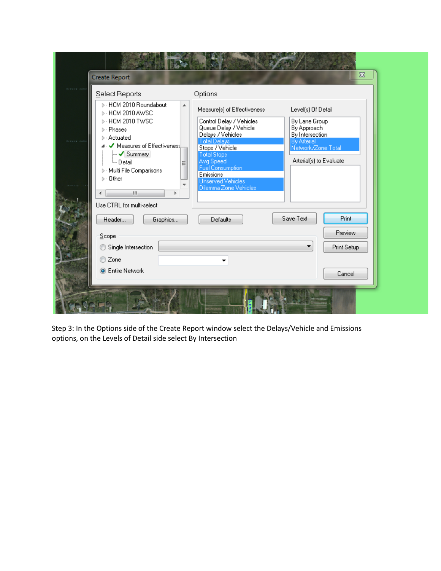|  | <b>Create Report</b>                                                                                                                                                                                                                                                                                                                                    |                                                                                                                                                                                                                                                                                            |                                                                                                                                              | $\boldsymbol{\mathsf{Z}}$                 |  |
|--|---------------------------------------------------------------------------------------------------------------------------------------------------------------------------------------------------------------------------------------------------------------------------------------------------------------------------------------------------------|--------------------------------------------------------------------------------------------------------------------------------------------------------------------------------------------------------------------------------------------------------------------------------------------|----------------------------------------------------------------------------------------------------------------------------------------------|-------------------------------------------|--|
|  | Select Reports<br>▷ HCM 2010 Roundabout<br>▲<br><b>D</b> - HCM 2010 AWSC<br>⊳ HCM 2010 TWSC<br>$\triangleright$ - Phases<br>$\triangleright$ - Actuated<br>Measures of Effectiveness<br>$\sim$ Summary<br><sup>i</sup> Detail<br>Ξ<br>Multi File Comparisons<br>$\triangleright$ .<br>$\triangleright$ $\cdot$ Other<br>m,<br>Use CTRL for multi-select | Options<br>Measure(s) of Effectiveness<br>Control Delay / Vehicles<br>Queue Delay / Vehicle<br>Delays / Vehicles<br><b>Total Delays</b><br>Stops / Vehicle<br><b>Total Stops</b><br>Avg Speed<br><b>Fuel Consumption</b><br>Emissions<br><b>Unserved Vehicles</b><br>Dilemma Zone Vehicles | Level(s) Of Detail<br>By Lane Group<br>By Approach<br>By Intersection<br><b>By Arterial</b><br>Network/Zone Total<br>Arterial(s) to Evaluate |                                           |  |
|  | Graphics<br>Header<br>$S$ cope<br>Single Intersection<br>⊙<br>◯ Zone<br>C Entire Network                                                                                                                                                                                                                                                                | Defaults<br>▼                                                                                                                                                                                                                                                                              | Save Text                                                                                                                                    | Print<br>Preview<br>Print Setup<br>Cancel |  |

Step 3: In the Options side of the Create Report window select the Delays/Vehicle and Emissions options, on the Levels of Detail side select By Intersection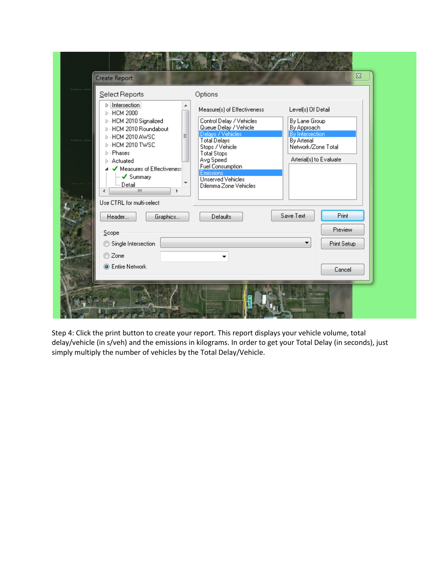| Intersection<br>Measure(s) of Effectiveness<br>Level(s) Of Detail<br>$\triangleright$ $\cdot$ HCM 2000<br>▷ HCM 2010 Signalized<br>Control Delay / Vehicles<br>By Lane Group                                                                                                                                                                                                                                                                                                                                                                                                             |             |  |
|------------------------------------------------------------------------------------------------------------------------------------------------------------------------------------------------------------------------------------------------------------------------------------------------------------------------------------------------------------------------------------------------------------------------------------------------------------------------------------------------------------------------------------------------------------------------------------------|-------------|--|
| Queue Delay / Vehicle<br>By Approach<br>▷ HCM 2010 Roundabout<br>Delays / Vehicles<br>By Intersection<br>Ξ<br>⊳ HCM 2010 AWSC<br><b>Total Delays</b><br>By Arterial<br><b>Detects</b> dealer<br>⊳ HCM 2010 TWSC<br>Network/Zone Total<br>Stops / Vehicle<br><b>D</b> - Phases<br><b>Total Stops</b><br>Arterial(s) to Evaluate<br>Avg Speed<br><b>D</b> - Actuated<br><b>Fuel Consumption</b><br>⊿ Measures of Effectiveness<br><b>Emissions</b><br>$\overline{\phantom{a}}$ Summary<br>Unserved Vehicles<br><b>Employees</b><br>Dilemma Zone Vehicles<br>m<br>Use CTRL for multi-select |             |  |
| Save Text<br>Graphics<br>Defaults<br>Header                                                                                                                                                                                                                                                                                                                                                                                                                                                                                                                                              | Print       |  |
| Scope                                                                                                                                                                                                                                                                                                                                                                                                                                                                                                                                                                                    | Preview     |  |
| Single Intersection                                                                                                                                                                                                                                                                                                                                                                                                                                                                                                                                                                      | Print Setup |  |
| © Zone                                                                                                                                                                                                                                                                                                                                                                                                                                                                                                                                                                                   |             |  |
| <b>O</b> Entire Network                                                                                                                                                                                                                                                                                                                                                                                                                                                                                                                                                                  | Cancel      |  |

Step 4: Click the print button to create your report. This report displays your vehicle volume, total delay/vehicle (in s/veh) and the emissions in kilograms. In order to get your Total Delay (in seconds), just simply multiply the number of vehicles by the Total Delay/Vehicle.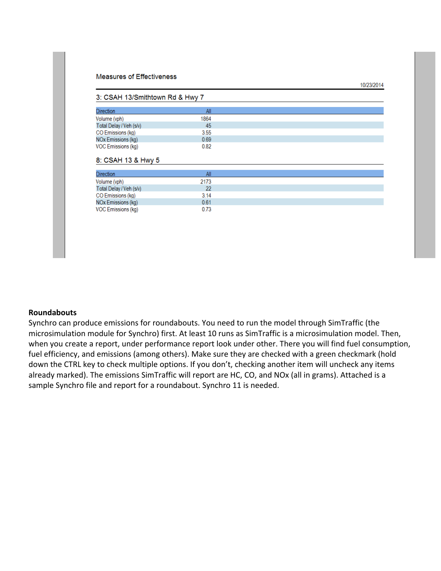#### **Measures of Effectiveness**

#### 3: CSAH 13/Smithtown Rd & Hwy 7

| <b>Direction</b>        | All  |
|-------------------------|------|
| Volume (vph)            | 1864 |
| Total Delay / Veh (s/v) | 45   |
| CO Emissions (kg)       | 3.55 |
| NOx Emissions (kg)      | 0.69 |
| VOC Emissions (kg)      | 0.82 |

10/23/2014

#### 8: CSAH 13 & Hwy 5

| <b>Direction</b>        | All  |
|-------------------------|------|
| Volume (vph)            | 2173 |
| Total Delay / Veh (s/v) | 22   |
| CO Emissions (kg)       | 3.14 |
| NOx Emissions (kg)      | 0.61 |
| VOC Emissions (kg)      | 0.73 |

### **Roundabouts**

Synchro can produce emissions for roundabouts. You need to run the model through SimTraffic (the microsimulation module for Synchro) first. At least 10 runs as SimTraffic is a microsimulation model. Then, when you create a report, under performance report look under other. There you will find fuel consumption, fuel efficiency, and emissions (among others). Make sure they are checked with a green checkmark (hold down the CTRL key to check multiple options. If you don't, checking another item will uncheck any items already marked). The emissions SimTraffic will report are HC, CO, and NOx (all in grams). Attached is a sample Synchro file and report for a roundabout. Synchro 11 is needed.